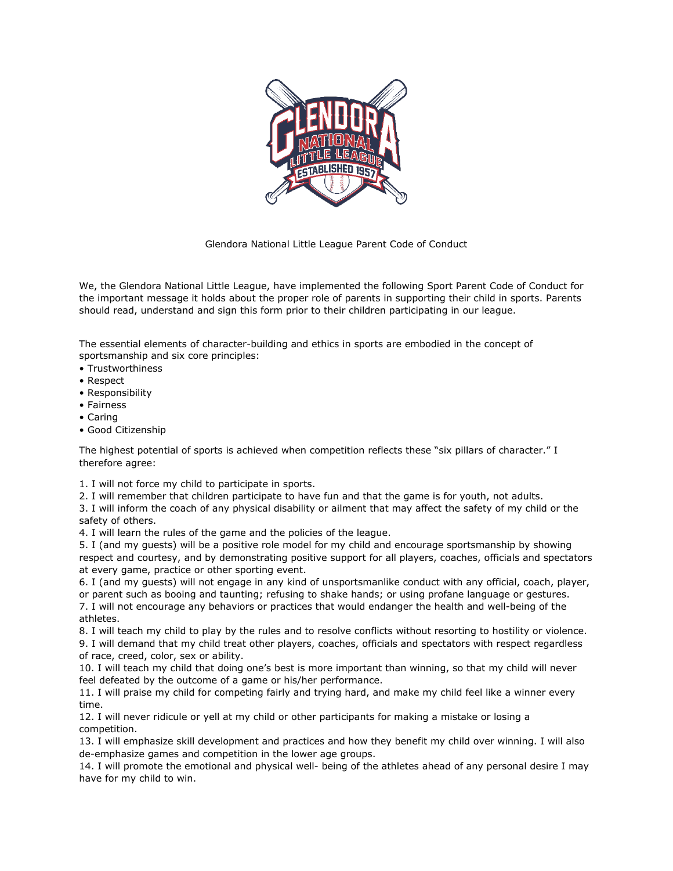

Glendora National Little League Parent Code of Conduct

We, the Glendora National Little League, have implemented the following Sport Parent Code of Conduct for the important message it holds about the proper role of parents in supporting their child in sports. Parents should read, understand and sign this form prior to their children participating in our league.

The essential elements of character-building and ethics in sports are embodied in the concept of sportsmanship and six core principles:

- Trustworthiness
- Respect
- Responsibility
- Fairness
- Caring
- Good Citizenship

The highest potential of sports is achieved when competition reflects these "six pillars of character." I therefore agree:

1. I will not force my child to participate in sports.

2. I will remember that children participate to have fun and that the game is for youth, not adults.

3. I will inform the coach of any physical disability or ailment that may affect the safety of my child or the safety of others.

4. I will learn the rules of the game and the policies of the league.

5. I (and my guests) will be a positive role model for my child and encourage sportsmanship by showing respect and courtesy, and by demonstrating positive support for all players, coaches, officials and spectators at every game, practice or other sporting event.

6. I (and my guests) will not engage in any kind of unsportsmanlike conduct with any official, coach, player, or parent such as booing and taunting; refusing to shake hands; or using profane language or gestures.

7. I will not encourage any behaviors or practices that would endanger the health and well-being of the athletes.

8. I will teach my child to play by the rules and to resolve conflicts without resorting to hostility or violence. 9. I will demand that my child treat other players, coaches, officials and spectators with respect regardless of race, creed, color, sex or ability.

10. I will teach my child that doing one's best is more important than winning, so that my child will never feel defeated by the outcome of a game or his/her performance.

11. I will praise my child for competing fairly and trying hard, and make my child feel like a winner every time.

12. I will never ridicule or yell at my child or other participants for making a mistake or losing a competition.

13. I will emphasize skill development and practices and how they benefit my child over winning. I will also de-emphasize games and competition in the lower age groups.

14. I will promote the emotional and physical well- being of the athletes ahead of any personal desire I may have for my child to win.